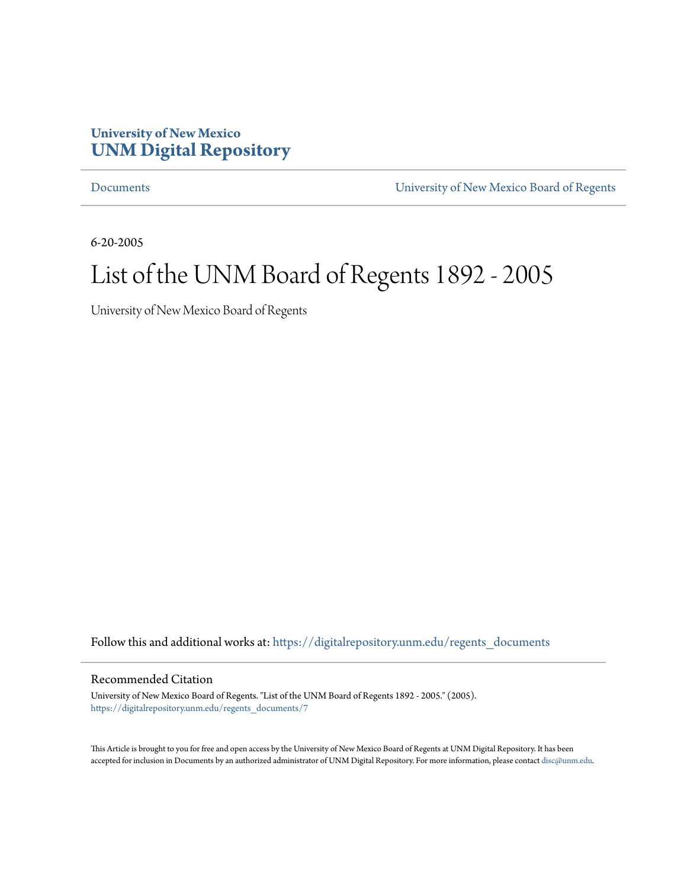## **University of New Mexico [UNM Digital Repository](https://digitalrepository.unm.edu?utm_source=digitalrepository.unm.edu%2Fregents_documents%2F7&utm_medium=PDF&utm_campaign=PDFCoverPages)**

[Documents](https://digitalrepository.unm.edu/regents_documents?utm_source=digitalrepository.unm.edu%2Fregents_documents%2F7&utm_medium=PDF&utm_campaign=PDFCoverPages) [University of New Mexico Board of Regents](https://digitalrepository.unm.edu/unm_regents?utm_source=digitalrepository.unm.edu%2Fregents_documents%2F7&utm_medium=PDF&utm_campaign=PDFCoverPages)

6-20-2005

## List of the UNM Board of Regents 1892 - 2005

University of New Mexico Board of Regents

Follow this and additional works at: [https://digitalrepository.unm.edu/regents\\_documents](https://digitalrepository.unm.edu/regents_documents?utm_source=digitalrepository.unm.edu%2Fregents_documents%2F7&utm_medium=PDF&utm_campaign=PDFCoverPages)

## Recommended Citation

University of New Mexico Board of Regents. "List of the UNM Board of Regents 1892 - 2005." (2005). [https://digitalrepository.unm.edu/regents\\_documents/7](https://digitalrepository.unm.edu/regents_documents/7?utm_source=digitalrepository.unm.edu%2Fregents_documents%2F7&utm_medium=PDF&utm_campaign=PDFCoverPages)

This Article is brought to you for free and open access by the University of New Mexico Board of Regents at UNM Digital Repository. It has been accepted for inclusion in Documents by an authorized administrator of UNM Digital Repository. For more information, please contact [disc@unm.edu.](mailto:disc@unm.edu)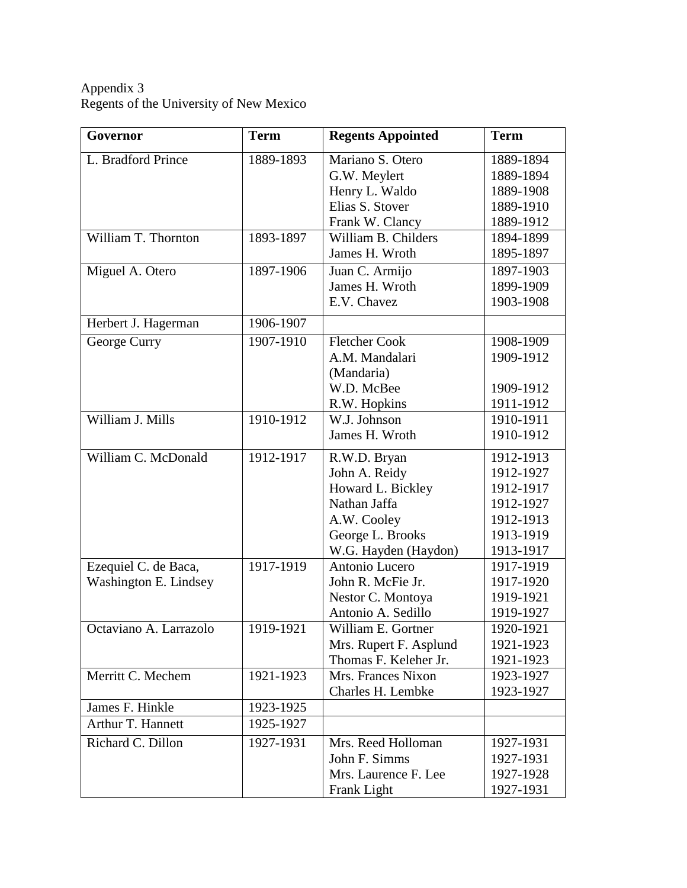Appendix 3 Regents of the University of New Mexico

| Governor               | <b>Term</b> | <b>Regents Appointed</b> | <b>Term</b> |
|------------------------|-------------|--------------------------|-------------|
| L. Bradford Prince     | 1889-1893   | Mariano S. Otero         | 1889-1894   |
|                        |             | G.W. Meylert             | 1889-1894   |
|                        |             | Henry L. Waldo           | 1889-1908   |
|                        |             | Elias S. Stover          | 1889-1910   |
|                        |             | Frank W. Clancy          | 1889-1912   |
| William T. Thornton    | 1893-1897   | William B. Childers      | 1894-1899   |
|                        |             | James H. Wroth           | 1895-1897   |
| Miguel A. Otero        | 1897-1906   | Juan C. Armijo           | 1897-1903   |
|                        |             | James H. Wroth           | 1899-1909   |
|                        |             | E.V. Chavez              | 1903-1908   |
| Herbert J. Hagerman    | 1906-1907   |                          |             |
| George Curry           | 1907-1910   | <b>Fletcher Cook</b>     | 1908-1909   |
|                        |             | A.M. Mandalari           | 1909-1912   |
|                        |             | (Mandaria)               |             |
|                        |             | W.D. McBee               | 1909-1912   |
|                        |             | R.W. Hopkins             | 1911-1912   |
| William J. Mills       | 1910-1912   | W.J. Johnson             | 1910-1911   |
|                        |             | James H. Wroth           | 1910-1912   |
| William C. McDonald    | 1912-1917   | R.W.D. Bryan             | 1912-1913   |
|                        |             | John A. Reidy            | 1912-1927   |
|                        |             | Howard L. Bickley        | 1912-1917   |
|                        |             | Nathan Jaffa             | 1912-1927   |
|                        |             | A.W. Cooley              | 1912-1913   |
|                        |             | George L. Brooks         | 1913-1919   |
|                        |             | W.G. Hayden (Haydon)     | 1913-1917   |
| Ezequiel C. de Baca,   | 1917-1919   | Antonio Lucero           | 1917-1919   |
| Washington E. Lindsey  |             | John R. McFie Jr.        | 1917-1920   |
|                        |             | Nestor C. Montoya        | 1919-1921   |
|                        |             | Antonio A. Sedillo       | 1919-1927   |
| Octaviano A. Larrazolo | 1919-1921   | William E. Gortner       | 1920-1921   |
|                        |             | Mrs. Rupert F. Asplund   | 1921-1923   |
|                        |             | Thomas F. Keleher Jr.    | 1921-1923   |
| Merritt C. Mechem      | 1921-1923   | Mrs. Frances Nixon       | 1923-1927   |
|                        |             | Charles H. Lembke        | 1923-1927   |
| James F. Hinkle        | 1923-1925   |                          |             |
| Arthur T. Hannett      | 1925-1927   |                          |             |
| Richard C. Dillon      | 1927-1931   | Mrs. Reed Holloman       | 1927-1931   |
|                        |             | John F. Simms            | 1927-1931   |
|                        |             | Mrs. Laurence F. Lee     | 1927-1928   |
|                        |             | Frank Light              | 1927-1931   |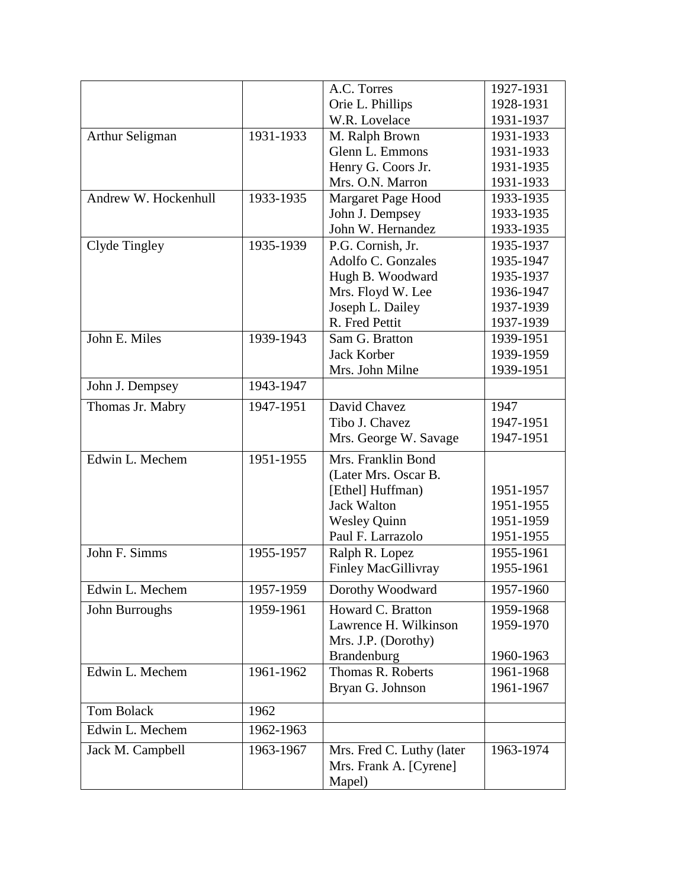|                      |           | A.C. Torres                | 1927-1931 |
|----------------------|-----------|----------------------------|-----------|
|                      |           | Orie L. Phillips           | 1928-1931 |
|                      |           | W.R. Lovelace              | 1931-1937 |
| Arthur Seligman      | 1931-1933 | M. Ralph Brown             | 1931-1933 |
|                      |           | Glenn L. Emmons            | 1931-1933 |
|                      |           | Henry G. Coors Jr.         | 1931-1935 |
|                      |           | Mrs. O.N. Marron           | 1931-1933 |
| Andrew W. Hockenhull | 1933-1935 | Margaret Page Hood         | 1933-1935 |
|                      |           | John J. Dempsey            | 1933-1935 |
|                      |           | John W. Hernandez          | 1933-1935 |
| Clyde Tingley        | 1935-1939 | P.G. Cornish, Jr.          | 1935-1937 |
|                      |           | Adolfo C. Gonzales         | 1935-1947 |
|                      |           | Hugh B. Woodward           | 1935-1937 |
|                      |           | Mrs. Floyd W. Lee          | 1936-1947 |
|                      |           | Joseph L. Dailey           | 1937-1939 |
|                      |           | R. Fred Pettit             | 1937-1939 |
| John E. Miles        | 1939-1943 | Sam G. Bratton             | 1939-1951 |
|                      |           | <b>Jack Korber</b>         | 1939-1959 |
|                      |           | Mrs. John Milne            | 1939-1951 |
| John J. Dempsey      | 1943-1947 |                            |           |
| Thomas Jr. Mabry     | 1947-1951 | David Chavez               | 1947      |
|                      |           | Tibo J. Chavez             | 1947-1951 |
|                      |           | Mrs. George W. Savage      | 1947-1951 |
| Edwin L. Mechem      | 1951-1955 | Mrs. Franklin Bond         |           |
|                      |           | (Later Mrs. Oscar B.       |           |
|                      |           | [Ethel] Huffman)           | 1951-1957 |
|                      |           | <b>Jack Walton</b>         | 1951-1955 |
|                      |           | <b>Wesley Quinn</b>        | 1951-1959 |
|                      |           | Paul F. Larrazolo          | 1951-1955 |
| John F. Simms        | 1955-1957 | Ralph R. Lopez             | 1955-1961 |
|                      |           | <b>Finley MacGillivray</b> | 1955-1961 |
| Edwin L. Mechem      | 1957-1959 | Dorothy Woodward           | 1957-1960 |
| John Burroughs       | 1959-1961 | Howard C. Bratton          | 1959-1968 |
|                      |           | Lawrence H. Wilkinson      | 1959-1970 |
|                      |           | Mrs. J.P. (Dorothy)        |           |
|                      |           | <b>Brandenburg</b>         | 1960-1963 |
| Edwin L. Mechem      | 1961-1962 | Thomas R. Roberts          | 1961-1968 |
|                      |           | Bryan G. Johnson           | 1961-1967 |
| <b>Tom Bolack</b>    | 1962      |                            |           |
| Edwin L. Mechem      | 1962-1963 |                            |           |
| Jack M. Campbell     | 1963-1967 | Mrs. Fred C. Luthy (later  | 1963-1974 |
|                      |           | Mrs. Frank A. [Cyrene]     |           |
|                      |           | Mapel)                     |           |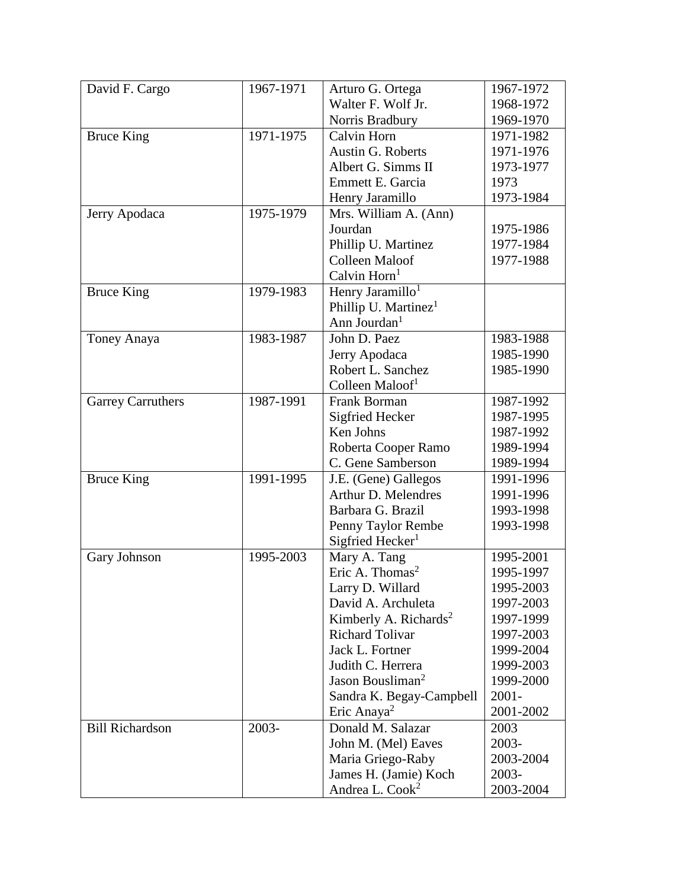| David F. Cargo           | 1967-1971 | Arturo G. Ortega                  | 1967-1972 |
|--------------------------|-----------|-----------------------------------|-----------|
|                          |           | Walter F. Wolf Jr.                | 1968-1972 |
|                          |           | Norris Bradbury                   | 1969-1970 |
| <b>Bruce King</b>        | 1971-1975 | Calvin Horn                       | 1971-1982 |
|                          |           | Austin G. Roberts                 | 1971-1976 |
|                          |           | Albert G. Simms II                | 1973-1977 |
|                          |           | Emmett E. Garcia                  | 1973      |
|                          |           | Henry Jaramillo                   | 1973-1984 |
| Jerry Apodaca            | 1975-1979 | Mrs. William A. (Ann)             |           |
|                          |           | Jourdan                           | 1975-1986 |
|                          |           | Phillip U. Martinez               | 1977-1984 |
|                          |           | Colleen Maloof                    | 1977-1988 |
|                          |           | Calvin Horn <sup>1</sup>          |           |
| <b>Bruce King</b>        | 1979-1983 | Henry Jaramillo <sup>1</sup>      |           |
|                          |           | Phillip U. Martinez <sup>1</sup>  |           |
|                          |           | Ann Jourdan <sup>1</sup>          |           |
| Toney Anaya              | 1983-1987 | John D. Paez                      | 1983-1988 |
|                          |           | Jerry Apodaca                     | 1985-1990 |
|                          |           | Robert L. Sanchez                 | 1985-1990 |
|                          |           | Colleen Maloof <sup>1</sup>       |           |
| <b>Garrey Carruthers</b> | 1987-1991 | Frank Borman                      | 1987-1992 |
|                          |           | Sigfried Hecker                   | 1987-1995 |
|                          |           | Ken Johns                         | 1987-1992 |
|                          |           | Roberta Cooper Ramo               | 1989-1994 |
|                          |           | C. Gene Samberson                 | 1989-1994 |
| <b>Bruce King</b>        | 1991-1995 | J.E. (Gene) Gallegos              | 1991-1996 |
|                          |           | Arthur D. Melendres               | 1991-1996 |
|                          |           | Barbara G. Brazil                 | 1993-1998 |
|                          |           | Penny Taylor Rembe                | 1993-1998 |
|                          |           | Sigfried Hecker <sup>1</sup>      |           |
| Gary Johnson             | 1995-2003 | Mary A. Tang                      | 1995-2001 |
|                          |           | Eric A. Thomas <sup>2</sup>       | 1995-1997 |
|                          |           | Larry D. Willard                  | 1995-2003 |
|                          |           | David A. Archuleta                | 1997-2003 |
|                          |           | Kimberly A. Richards <sup>2</sup> | 1997-1999 |
|                          |           | <b>Richard Tolivar</b>            | 1997-2003 |
|                          |           | Jack L. Fortner                   | 1999-2004 |
|                          |           | Judith C. Herrera                 | 1999-2003 |
|                          |           | Jason Bousliman <sup>2</sup>      | 1999-2000 |
|                          |           | Sandra K. Begay-Campbell          | $2001 -$  |
|                          |           | Eric Anaya <sup>2</sup>           | 2001-2002 |
| <b>Bill Richardson</b>   | 2003-     | Donald M. Salazar                 | 2003      |
|                          |           | John M. (Mel) Eaves               | 2003-     |
|                          |           | Maria Griego-Raby                 | 2003-2004 |
|                          |           | James H. (Jamie) Koch             | 2003-     |
|                          |           | Andrea L. Cook <sup>2</sup>       | 2003-2004 |